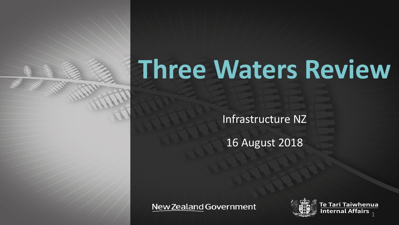# **Three Waters Review**

Infrastructure NZ

16 August 2018

**New Zealand Government** 



enua Internal Affairs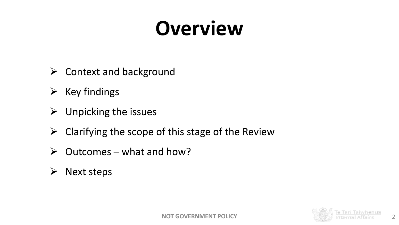## **Overview**

- $\triangleright$  Context and background
- $\triangleright$  Key findings
- $\triangleright$  Unpicking the issues
- $\triangleright$  Clarifying the scope of this stage of the Review
- $\triangleright$  Outcomes what and how?
- $\triangleright$  Next steps

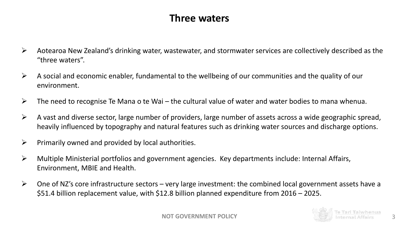## **Three waters**

- $\triangleright$  Aotearoa New Zealand's drinking water, wastewater, and stormwater services are collectively described as the "three waters".
- $\triangleright$  A social and economic enabler, fundamental to the wellbeing of our communities and the quality of our environment.
- $\triangleright$  The need to recognise Te Mana o te Wai the cultural value of water and water bodies to mana whenua.
- $\triangleright$  A vast and diverse sector, large number of providers, large number of assets across a wide geographic spread, heavily influenced by topography and natural features such as drinking water sources and discharge options.
- $\triangleright$  Primarily owned and provided by local authorities.
- $\triangleright$  Multiple Ministerial portfolios and government agencies. Key departments include: Internal Affairs, Environment, MBIE and Health.
- $\triangleright$  One of NZ's core infrastructure sectors very large investment: the combined local government assets have a \$51.4 billion replacement value, with \$12.8 billion planned expenditure from 2016 – 2025.

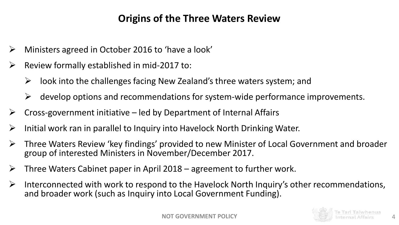## **Origins of the Three Waters Review**

- $\triangleright$  Ministers agreed in October 2016 to 'have a look'
- $\triangleright$  Review formally established in mid-2017 to:
	- $\triangleright$  look into the challenges facing New Zealand's three waters system; and
	- $\triangleright$  develop options and recommendations for system-wide performance improvements.
- $\triangleright$  Cross-government initiative led by Department of Internal Affairs
- $\triangleright$  Initial work ran in parallel to Inquiry into Havelock North Drinking Water.
- $\triangleright$  Three Waters Review 'key findings' provided to new Minister of Local Government and broader group of interested Ministers in November/December 2017.
- $\triangleright$  Three Waters Cabinet paper in April 2018 agreement to further work.
- $\triangleright$  Interconnected with work to respond to the Havelock North Inquiry's other recommendations, and broader work (such as Inquiry into Local Government Funding).



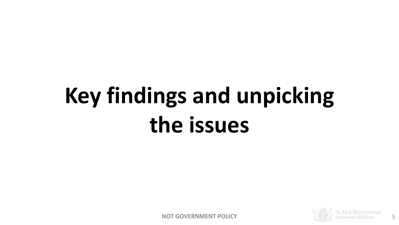## **Key findings and unpicking the issues**

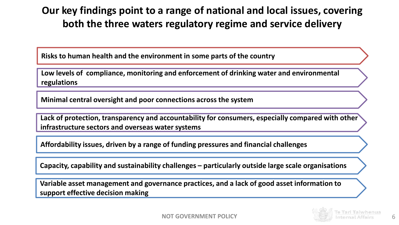## **Our key findings point to a range of national and local issues, covering both the three waters regulatory regime and service delivery**

**Risks to human health and the environment in some parts of the country**

**Low levels of compliance, monitoring and enforcement of drinking water and environmental regulations**

**Minimal central oversight and poor connections across the system**

**Lack of protection, transparency and accountability for consumers, especially compared with other infrastructure sectors and overseas water systems** 

**Affordability issues, driven by a range of funding pressures and financial challenges**

**Capacity, capability and sustainability challenges – particularly outside large scale organisations**

**Variable asset management and governance practices, and a lack of good asset information to support effective decision making**

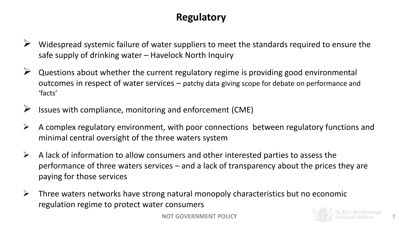## **Regulatory**

- Widespread systemic failure of water suppliers to meet the standards required to ensure the safe supply of drinking water – Havelock North Inquiry
- $\triangleright$  Questions about whether the current regulatory regime is providing good environmental outcomes in respect of water services – patchy data giving scope for debate on performance and 'facts'
- Issues with compliance, monitoring and enforcement (CME)
- $\triangleright$  A complex regulatory environment, with poor connections between regulatory functions and minimal central oversight of the three waters system
- $\triangleright$  A lack of information to allow consumers and other interested parties to assess the performance of three waters services – and a lack of transparency about the prices they are paying for those services
- $\triangleright$  Three waters networks have strong natural monopoly characteristics but no economic regulation regime to protect water consumers

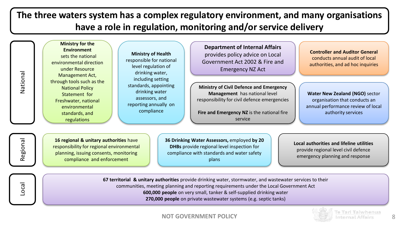## **The three waters system has a complex regulatory environment, and many organisations have a role in regulation, monitoring and/or service delivery**

| National | <b>Ministry for the</b><br><b>Environment</b><br><b>Ministry of Health</b><br>sets the national<br>responsible for national<br>environmental direction<br>level regulation of<br>under Resource<br>drinking water,<br>Management Act,<br>including setting<br>through tools such as the<br>standards, appointing<br><b>National Policy</b><br>drinking water<br>Statement for<br>assessors, and<br>Freshwater, national<br>reporting annually on<br>environmental<br>compliance<br>standards, and<br>regulations | <b>Department of Internal Affairs</b><br><b>Controller and Auditor General</b><br>provides policy advice on Local<br>conducts annual audit of local<br>Government Act 2002 & Fire and<br>authorities, and ad hoc inquiries<br><b>Emergency NZ Act</b>                                                                                           |  |
|----------|------------------------------------------------------------------------------------------------------------------------------------------------------------------------------------------------------------------------------------------------------------------------------------------------------------------------------------------------------------------------------------------------------------------------------------------------------------------------------------------------------------------|-------------------------------------------------------------------------------------------------------------------------------------------------------------------------------------------------------------------------------------------------------------------------------------------------------------------------------------------------|--|
|          |                                                                                                                                                                                                                                                                                                                                                                                                                                                                                                                  | <b>Ministry of Civil Defence and Emergency</b><br>Management has national level<br><b>Water New Zealand (NGO)</b> sector<br>responsibility for civil defence emergencies<br>organisation that conducts an<br>annual performance review of local<br>Fire and Emergency NZ is the national fire<br>authority services<br>service                  |  |
| Regional | 16 regional & unitary authorities have<br>responsibility for regional environmental<br>planning, issuing consents, monitoring<br>compliance and enforcement                                                                                                                                                                                                                                                                                                                                                      | 36 Drinking Water Assessors, employed by 20<br>Local authorities and lifeline utilities<br><b>DHBs</b> provide regional level inspection for<br>provide regional level civil defence<br>compliance with standards and water safety<br>emergency planning and response<br>plans                                                                  |  |
| Local    |                                                                                                                                                                                                                                                                                                                                                                                                                                                                                                                  | 67 territorial & unitary authorities provide drinking water, stormwater, and wastewater services to their<br>communities, meeting planning and reporting requirements under the Local Government Act<br>600,000 people on very small, tanker & self-supplied drinking water<br>270,000 people on private wastewater systems (e.g. septic tanks) |  |

**NOT GOVERNMENT POLICY** 8

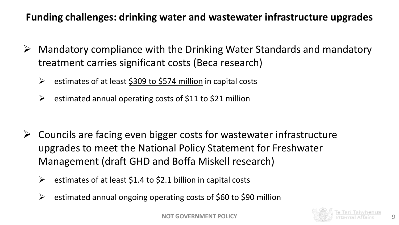## **Funding challenges: drinking water and wastewater infrastructure upgrades**

- $\triangleright$  Mandatory compliance with the Drinking Water Standards and mandatory treatment carries significant costs (Beca research)
	- $\triangleright$  estimates of at least \$309 to \$574 million in capital costs
	- $\triangleright$  estimated annual operating costs of \$11 to \$21 million

- $\triangleright$  Councils are facing even bigger costs for wastewater infrastructure upgrades to meet the National Policy Statement for Freshwater Management (draft GHD and Boffa Miskell research)
	- $\triangleright$  estimates of at least \$1.4 to \$2.1 billion in capital costs
	- $\triangleright$  estimated annual ongoing operating costs of \$60 to \$90 million

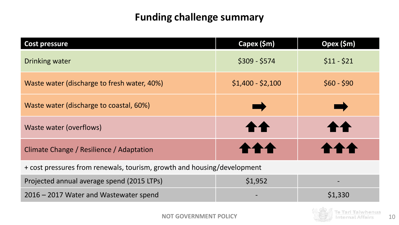## **Funding challenge summary**

| <b>Cost pressure</b>                                                    | Capex (\$m)       | Opex (\$m)  |  |  |
|-------------------------------------------------------------------------|-------------------|-------------|--|--|
| Drinking water                                                          | $$309 - $574$     | $$11 - $21$ |  |  |
| Waste water (discharge to fresh water, 40%)                             | $$1,400 - $2,100$ | $$60 - $90$ |  |  |
| Waste water (discharge to coastal, 60%)                                 | ٠                 | T.          |  |  |
| Waste water (overflows)                                                 | <b>11</b>         |             |  |  |
| Climate Change / Resilience / Adaptation                                |                   |             |  |  |
| + cost pressures from renewals, tourism, growth and housing/development |                   |             |  |  |
| Projected annual average spend (2015 LTPs)                              | \$1,952           |             |  |  |
| 2016 - 2017 Water and Wastewater spend                                  |                   | \$1,330     |  |  |

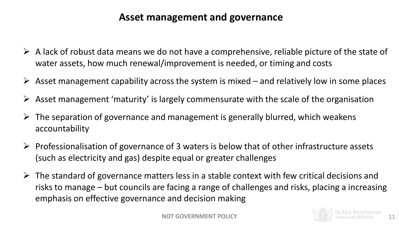## **Asset management and governance**

- $\triangleright$  A lack of robust data means we do not have a comprehensive, reliable picture of the state of water assets, how much renewal/improvement is needed, or timing and costs
- $\triangleright$  Asset management capability across the system is mixed and relatively low in some places
- $\triangleright$  Asset management 'maturity' is largely commensurate with the scale of the organisation
- $\triangleright$  The separation of governance and management is generally blurred, which weakens accountability
- $\triangleright$  Professionalisation of governance of 3 waters is below that of other infrastructure assets (such as electricity and gas) despite equal or greater challenges
- $\triangleright$  The standard of governance matters less in a stable context with few critical decisions and risks to manage – but councils are facing a range of challenges and risks, placing a increasing emphasis on effective governance and decision making

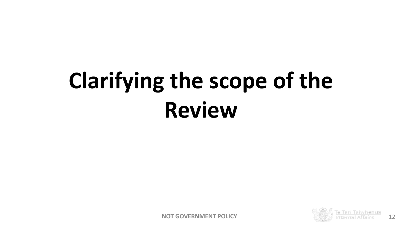# **Clarifying the scope of the Review**

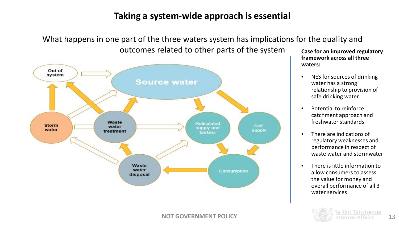### **Taking a system-wide approach is essential**

What happens in one part of the three waters system has implications for the quality and outcomes related to other parts of the system



**Case for an improved regulatory framework across all three waters:** 

- NES for sources of drinking water has a strong relationship to provision of safe drinking water
- Potential to reinforce catchment approach and freshwater standards
- There are indications of regulatory weaknesses and performance in respect of waste water and stormwater
- There is little information to allow consumers to assess the value for money and overall performance of all 3 water services

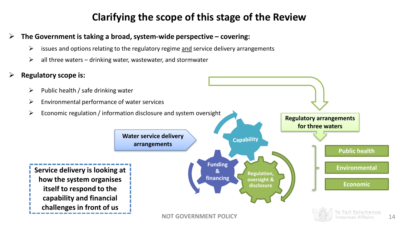## **Clarifying the scope of this stage of the Review**

#### **The Government is taking a broad, system-wide perspective – covering:**

- $\triangleright$  issues and options relating to the regulatory regime and service delivery arrangements
- $\triangleright$  all three waters drinking water, wastewater, and stormwater

### **Regulatory scope is:**

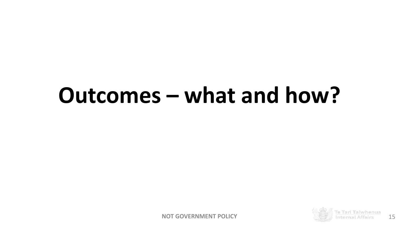## **Outcomes – what and how?**

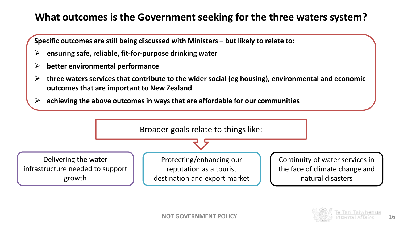## **What outcomes is the Government seeking for the three waters system?**

**Specific outcomes are still being discussed with Ministers – but likely to relate to:**

- **ensuring safe, reliable, fit-for-purpose drinking water**
- **better environmental performance**
- **three waters services that contribute to the wider social (eg housing), environmental and economic outcomes that are important to New Zealand**
- **achieving the above outcomes in ways that are affordable for our communities**



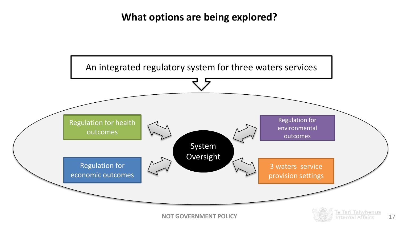## **What options are being explored?**

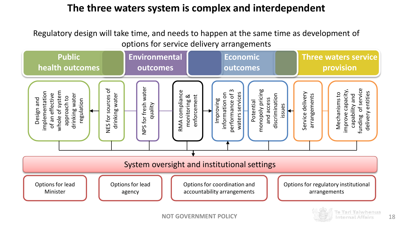## **The three waters system is complex and interdependent**

Regulatory design will take time, and needs to happen at the same time as development of options for service delivery arrangements

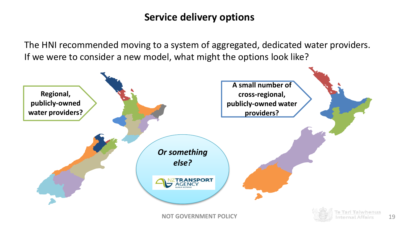## **Service delivery options**

The HNI recommended moving to a system of aggregated, dedicated water providers. If we were to consider a new model, what might the options look like?

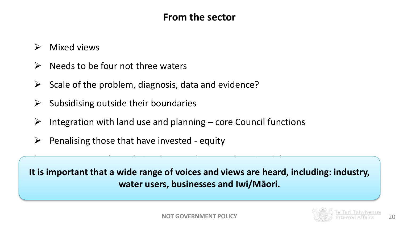## **From the sector**

- $\triangleright$  Mixed views
- $\triangleright$  Needs to be four not three waters
- $\triangleright$  Scale of the problem, diagnosis, data and evidence?
- $\triangleright$  Subsidising outside their boundaries
- $\triangleright$  Integration with land use and planning core Council functions

Nervousness about their role – regulatory and service delivery

 $\triangleright$  Penalising those that have invested - equity

It is important that a wide range of voices and views are heard, including: industry, **water users, businesses and Iwi/Māori.**

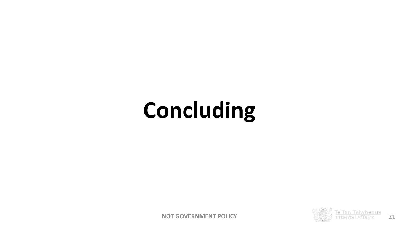## **Concluding**

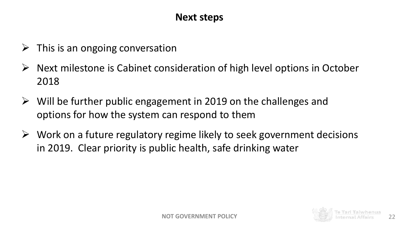## **Next steps**

- $\triangleright$  This is an ongoing conversation
- $\triangleright$  Next milestone is Cabinet consideration of high level options in October 2018
- $\triangleright$  Will be further public engagement in 2019 on the challenges and options for how the system can respond to them
- $\triangleright$  Work on a future regulatory regime likely to seek government decisions in 2019. Clear priority is public health, safe drinking water

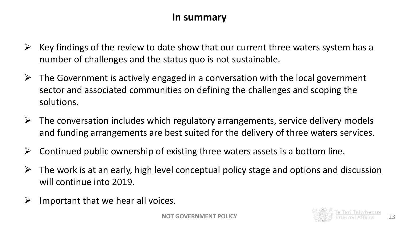### **In summary**

- $\triangleright$  Key findings of the review to date show that our current three waters system has a number of challenges and the status quo is not sustainable.
- $\triangleright$  The Government is actively engaged in a conversation with the local government sector and associated communities on defining the challenges and scoping the solutions.
- $\triangleright$  The conversation includes which regulatory arrangements, service delivery models and funding arrangements are best suited for the delivery of three waters services.
- $\triangleright$  Continued public ownership of existing three waters assets is a bottom line.
- $\triangleright$  The work is at an early, high level conceptual policy stage and options and discussion will continue into 2019.
- $\triangleright$  Important that we hear all voices.